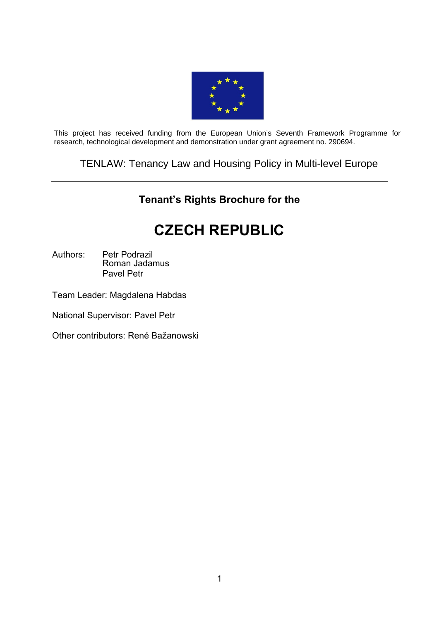

This project has received funding from the European Union's Seventh Framework Programme for research, technological development and demonstration under grant agreement no. 290694.

TENLAW: Tenancy Law and Housing Policy in Multi-level Europe

## **Tenant's Rights Brochure for the**

# **CZECH REPUBLIC**

Authors: Petr Podrazil Roman Jadamus Pavel Petr

Team Leader: Magdalena Habdas

National Supervisor: Pavel Petr

Other contributors: René Bažanowski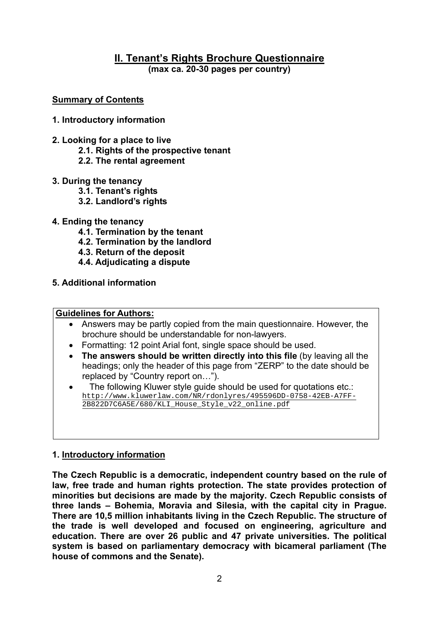#### **II. Tenant's Rights Brochure Questionnaire (max ca. 20-30 pages per country)**

#### **Summary of Contents**

#### **1. Introductory information**

- **2. Looking for a place to live** 
	- **2.1. Rights of the prospective tenant**
	- **2.2. The rental agreement**
- **3. During the tenancy** 
	- **3.1. Tenant's rights**
	- **3.2. Landlord's rights**
- **4. Ending the tenancy** 
	- **4.1. Termination by the tenant**
	- **4.2. Termination by the landlord**
	- **4.3. Return of the deposit**
	- **4.4. Adjudicating a dispute**
- **5. Additional information**

#### **Guidelines for Authors:**

- Answers may be partly copied from the main questionnaire. However, the brochure should be understandable for non-lawyers.
- Formatting: 12 point Arial font, single space should be used.
- **The answers should be written directly into this file** (by leaving all the headings; only the header of this page from "ZERP" to the date should be replaced by "Country report on…").
- The following Kluwer style guide should be used for quotations etc.: [http://www.kluwerlaw.com/NR/rdonlyres/495596DD-0758-42EB-A7FF-](http://www.kluwerlaw.com/NR/rdonlyres/495596DD-0758-42EB-A7FF-2B822D7C6A5E/680/KLI_House_Style_v22_online.pdf)[2B822D7C6A5E/680/KLI\\_House\\_Style\\_v22\\_online.pdf](http://www.kluwerlaw.com/NR/rdonlyres/495596DD-0758-42EB-A7FF-2B822D7C6A5E/680/KLI_House_Style_v22_online.pdf)

#### **1. Introductory information**

**The Czech Republic is a democratic, independent country based on the rule of law, free trade and human rights protection. The state provides protection of minorities but decisions are made by the majority. Czech Republic consists of three lands – Bohemia, Moravia and Silesia, with the capital city in Prague. There are 10,5 million inhabitants living in the Czech Republic. The structure of the trade is well developed and focused on engineering, agriculture and education. There are over 26 public and 47 private universities. The political system is based on parliamentary democracy with bicameral parliament (The house of commons and the Senate).**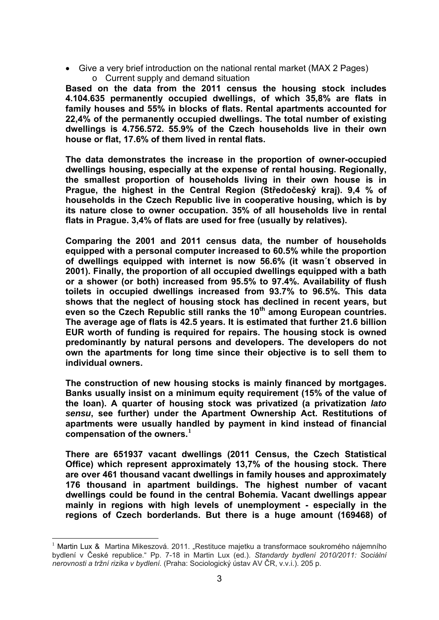Give a very brief introduction on the national rental market (MAX 2 Pages) o Current supply and demand situation

**Based on the data from the 2011 census the housing stock includes 4.104.635 permanently occupied dwellings, of which 35,8% are flats in family houses and 55% in blocks of flats. Rental apartments accounted for 22,4% of the permanently occupied dwellings. The total number of existing dwellings is 4.756.572. 55.9% of the Czech households live in their own house or flat, 17.6% of them lived in rental flats.** 

**The data demonstrates the increase in the proportion of owner-occupied dwellings housing, especially at the expense of rental housing. Regionally, the smallest proportion of households living in their own house is in Prague, the highest in the Central Region (Středočeský kraj). 9,4 % of households in the Czech Republic live in cooperative housing, which is by its nature close to owner occupation. 35% of all households live in rental flats in Prague. 3,4% of flats are used for free (usually by relatives).** 

**Comparing the 2001 and 2011 census data, the number of households equipped with a personal computer increased to 60.5% while the proportion of dwellings equipped with internet is now 56.6% (it wasn´t observed in 2001). Finally, the proportion of all occupied dwellings equipped with a bath or a shower (or both) increased from 95.5% to 97.4%. Availability of flush toilets in occupied dwellings increased from 93.7% to 96.5%. This data shows that the neglect of housing stock has declined in recent years, but**  even so the Czech Republic still ranks the 10<sup>th</sup> among European countries. **The average age of flats is 42.5 years. It is estimated that further 21.6 billion EUR worth of funding is required for repairs. The housing stock is owned predominantly by natural persons and developers. The developers do not own the apartments for long time since their objective is to sell them to individual owners.** 

**The construction of new housing stocks is mainly financed by mortgages. Banks usually insist on a minimum equity requirement (15% of the value of the loan). A quarter of housing stock was privatized (a privatization** *lato sensu***, see further) under the Apartment Ownership Act. Restitutions of apartments were usually handled by payment in kind instead of financial compensation of the owners.[1](#page-2-0)** 

**There are 651937 vacant dwellings (2011 Census, the Czech Statistical Office) which represent approximately 13,7% of the housing stock. There are over 461 thousand vacant dwellings in family houses and approximately 176 thousand in apartment buildings. The highest number of vacant dwellings could be found in the central Bohemia. Vacant dwellings appear mainly in regions with high levels of unemployment - especially in the regions of Czech borderlands. But there is a huge amount (169468) of** 

1

<span id="page-2-0"></span><sup>&</sup>lt;sup>1</sup> Martin Lux & Martina Mikeszová. 2011. "Restituce majetku a transformace soukromého nájemního bydlení v České republice." Pp. 7-18 in Martin Lux (ed.). *Standardy bydlení 2010/2011: Sociální nerovnosti a tržní rizika v bydlení.* (Praha: Sociologický ústav AV ČR, v.v.i.). 205 p.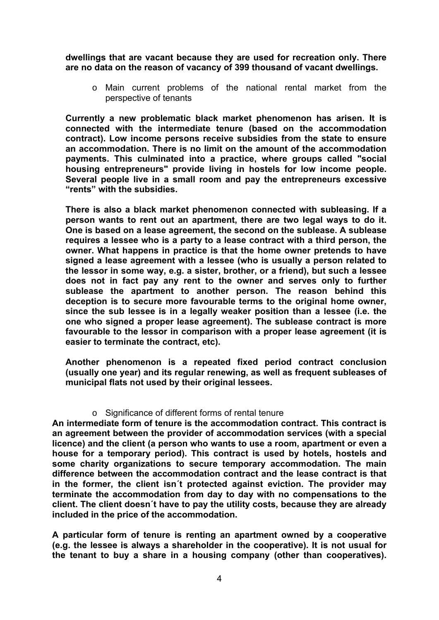**dwellings that are vacant because they are used for recreation only. There are no data on the reason of vacancy of 399 thousand of vacant dwellings.** 

o Main current problems of the national rental market from the perspective of tenants

**Currently a new problematic black market phenomenon has arisen. It is connected with the intermediate tenure (based on the accommodation contract). Low income persons receive subsidies from the state to ensure an accommodation. There is no limit on the amount of the accommodation payments. This culminated into a practice, where groups called "social housing entrepreneurs" provide living in hostels for low income people. Several people live in a small room and pay the entrepreneurs excessive "rents" with the subsidies.** 

**There is also a black market phenomenon connected with subleasing. If a person wants to rent out an apartment, there are two legal ways to do it. One is based on a lease agreement, the second on the sublease. A sublease requires a lessee who is a party to a lease contract with a third person, the owner. What happens in practice is that the home owner pretends to have signed a lease agreement with a lessee (who is usually a person related to the lessor in some way, e.g. a sister, brother, or a friend), but such a lessee does not in fact pay any rent to the owner and serves only to further sublease the apartment to another person. The reason behind this deception is to secure more favourable terms to the original home owner, since the sub lessee is in a legally weaker position than a lessee (i.e. the one who signed a proper lease agreement). The sublease contract is more favourable to the lessor in comparison with a proper lease agreement (it is easier to terminate the contract, etc).** 

**Another phenomenon is a repeated fixed period contract conclusion (usually one year) and its regular renewing, as well as frequent subleases of municipal flats not used by their original lessees.** 

#### o Significance of different forms of rental tenure

**An intermediate form of tenure is the accommodation contract. This contract is an agreement between the provider of accommodation services (with a special licence) and the client (a person who wants to use a room, apartment or even a house for a temporary period). This contract is used by hotels, hostels and some charity organizations to secure temporary accommodation. The main difference between the accommodation contract and the lease contract is that in the former, the client isn´t protected against eviction. The provider may terminate the accommodation from day to day with no compensations to the client. The client doesn´t have to pay the utility costs, because they are already included in the price of the accommodation.** 

**A particular form of tenure is renting an apartment owned by a cooperative (e.g. the lessee is always a shareholder in the cooperative). It is not usual for the tenant to buy a share in a housing company (other than cooperatives).**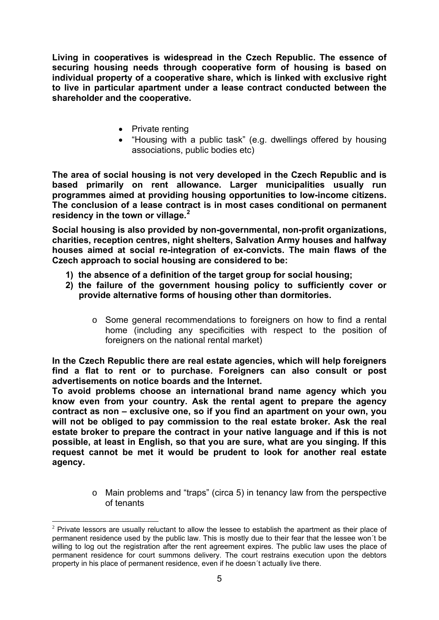**Living in cooperatives is widespread in the Czech Republic. The essence of securing housing needs through cooperative form of housing is based on individual property of a cooperative share, which is linked with exclusive right to live in particular apartment under a lease contract conducted between the shareholder and the cooperative.** 

- Private renting
- "Housing with a public task" (e.g. dwellings offered by housing associations, public bodies etc)

**The area of social housing is not very developed in the Czech Republic and is based primarily on rent allowance. Larger municipalities usually run programmes aimed at providing housing opportunities to low-income citizens. The conclusion of a lease contract is in most cases conditional on permanent residency in the town or village.[2](#page-4-0)**

**Social housing is also provided by non-governmental, non-profit organizations, charities, reception centres, night shelters, Salvation Army houses and halfway houses aimed at social re-integration of ex-convicts. The main flaws of the Czech approach to social housing are considered to be:** 

- **1) the absence of a definition of the target group for social housing;**
- **2) the failure of the government housing policy to sufficiently cover or provide alternative forms of housing other than dormitories.** 
	- $\circ$  Some general recommendations to foreigners on how to find a rental home (including any specificities with respect to the position of foreigners on the national rental market)

**In the Czech Republic there are real estate agencies, which will help foreigners find a flat to rent or to purchase. Foreigners can also consult or post advertisements on notice boards and the Internet.** 

**To avoid problems choose an international brand name agency which you know even from your country. Ask the rental agent to prepare the agency contract as non – exclusive one, so if you find an apartment on your own, you will not be obliged to pay commission to the real estate broker. Ask the real estate broker to prepare the contract in your native language and if this is not possible, at least in English, so that you are sure, what are you singing. If this request cannot be met it would be prudent to look for another real estate agency.** 

> o Main problems and "traps" (circa 5) in tenancy law from the perspective of tenants

<span id="page-4-0"></span><sup>1</sup>  $2$  Private lessors are usually reluctant to allow the lessee to establish the apartment as their place of permanent residence used by the public law. This is mostly due to their fear that the lessee won´t be willing to log out the registration after the rent agreement expires. The public law uses the place of permanent residence for court summons delivery. The court restrains execution upon the debtors property in his place of permanent residence, even if he doesn´t actually live there.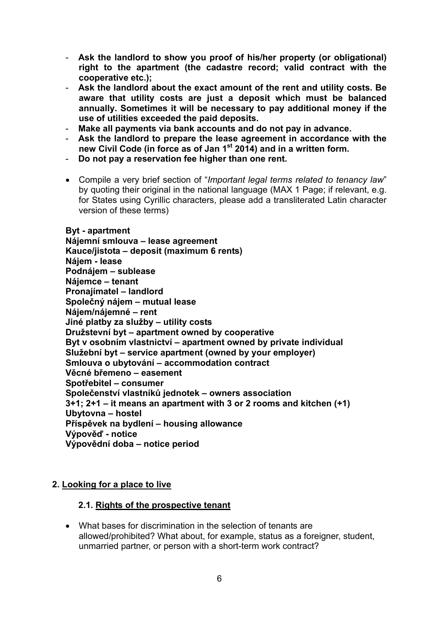- **Ask the landlord to show you proof of his/her property (or obligational) right to the apartment (the cadastre record; valid contract with the cooperative etc.);**
- **Ask the landlord about the exact amount of the rent and utility costs. Be aware that utility costs are just a deposit which must be balanced annually. Sometimes it will be necessary to pay additional money if the use of utilities exceeded the paid deposits.**
- **Make all payments via bank accounts and do not pay in advance.**
- **Ask the landlord to prepare the lease agreement in accordance with the new Civil Code (in force as of Jan 1st 2014) and in a written form.**
- **Do not pay a reservation fee higher than one rent.**
- Compile a very brief section of "*Important legal terms related to tenancy law*" by quoting their original in the national language (MAX 1 Page; if relevant, e.g. for States using Cyrillic characters, please add a transliterated Latin character version of these terms)

## **Byt - apartment**

**Nájemní smlouva – lease agreement Kauce/jistota – deposit (maximum 6 rents) Nájem - lease Podnájem – sublease Nájemce – tenant Pronajímatel – landlord Společný nájem – mutual lease Nájem/nájemné – rent Jiné platby za služby – utility costs Družstevní byt – apartment owned by cooperative Byt v osobním vlastnictví – apartment owned by private individual Služební byt – service apartment (owned by your employer) Smlouva o ubytování – accommodation contract Věcné břemeno – easement Spotřebitel – consumer Společenství vlastníků jednotek – owners association 3+1; 2+1 – it means an apartment with 3 or 2 rooms and kitchen (+1) Ubytovna – hostel Příspěvek na bydlení – housing allowance Výpověď - notice Výpovědní doba – notice period** 

#### **2. Looking for a place to live**

#### **2.1. Rights of the prospective tenant**

 What bases for discrimination in the selection of tenants are allowed/prohibited? What about, for example, status as a foreigner, student, unmarried partner, or person with a short-term work contract?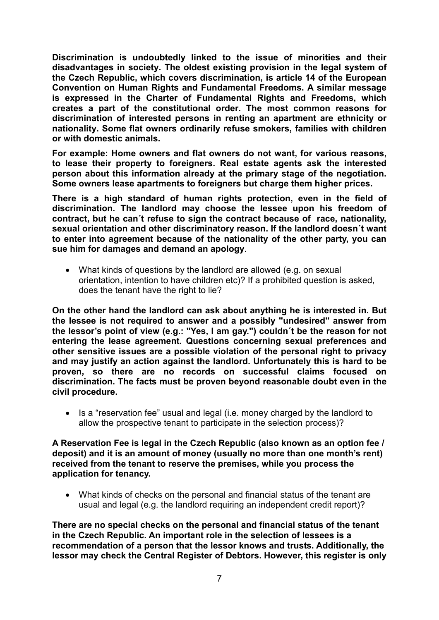**Discrimination is undoubtedly linked to the issue of minorities and their disadvantages in society. The oldest existing provision in the legal system of the Czech Republic, which covers discrimination, is article 14 of the European Convention on Human Rights and Fundamental Freedoms. A similar message is expressed in the Charter of Fundamental Rights and Freedoms, which creates a part of the constitutional order. The most common reasons for discrimination of interested persons in renting an apartment are ethnicity or nationality. Some flat owners ordinarily refuse smokers, families with children or with domestic animals.** 

**For example: Home owners and flat owners do not want, for various reasons, to lease their property to foreigners. Real estate agents ask the interested person about this information already at the primary stage of the negotiation. Some owners lease apartments to foreigners but charge them higher prices.** 

**There is a high standard of human rights protection, even in the field of discrimination. The landlord may choose the lessee upon his freedom of contract, but he can´t refuse to sign the contract because of race, nationality, sexual orientation and other discriminatory reason. If the landlord doesn´t want to enter into agreement because of the nationality of the other party, you can sue him for damages and demand an apology**.

 What kinds of questions by the landlord are allowed (e.g. on sexual orientation, intention to have children etc)? If a prohibited question is asked, does the tenant have the right to lie?

**On the other hand the landlord can ask about anything he is interested in. But the lessee is not required to answer and a possibly "undesired" answer from the lessor's point of view (e.g.: "Yes, I am gay.") couldn´t be the reason for not entering the lease agreement. Questions concerning sexual preferences and other sensitive issues are a possible violation of the personal right to privacy and may justify an action against the landlord. Unfortunately this is hard to be proven, so there are no records on successful claims focused on discrimination. The facts must be proven beyond reasonable doubt even in the civil procedure.** 

• Is a "reservation fee" usual and legal (i.e. money charged by the landlord to allow the prospective tenant to participate in the selection process)?

**A Reservation Fee is legal in the Czech Republic (also known as an option fee / deposit) and it is an amount of money (usually no more than one month's rent) received from the tenant to reserve the premises, while you process the application for tenancy.** 

 What kinds of checks on the personal and financial status of the tenant are usual and legal (e.g. the landlord requiring an independent credit report)?

**There are no special checks on the personal and financial status of the tenant in the Czech Republic. An important role in the selection of lessees is a recommendation of a person that the lessor knows and trusts. Additionally, the lessor may check the Central Register of Debtors. However, this register is only**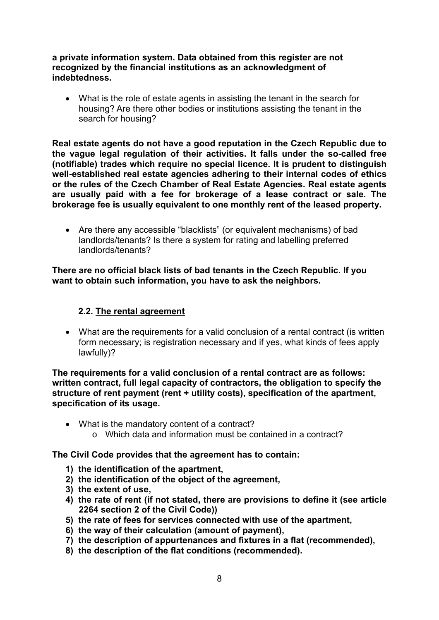**a private information system. Data obtained from this register are not recognized by the financial institutions as an acknowledgment of indebtedness.** 

 What is the role of estate agents in assisting the tenant in the search for housing? Are there other bodies or institutions assisting the tenant in the search for housing?

**Real estate agents do not have a good reputation in the Czech Republic due to the vague legal regulation of their activities. It falls under the so-called free (notifiable) trades which require no special licence. It is prudent to distinguish well-established real estate agencies adhering to their internal codes of ethics or the rules of the Czech Chamber of Real Estate Agencies. Real estate agents are usually paid with a fee for brokerage of a lease contract or sale. The brokerage fee is usually equivalent to one monthly rent of the leased property.** 

 Are there any accessible "blacklists" (or equivalent mechanisms) of bad landlords/tenants? Is there a system for rating and labelling preferred landlords/tenants?

**There are no official black lists of bad tenants in the Czech Republic. If you want to obtain such information, you have to ask the neighbors.** 

#### **2.2. The rental agreement**

 What are the requirements for a valid conclusion of a rental contract (is written form necessary; is registration necessary and if yes, what kinds of fees apply lawfully)?

**The requirements for a valid conclusion of a rental contract are as follows: written contract, full legal capacity of contractors, the obligation to specify the structure of rent payment (rent + utility costs), specification of the apartment, specification of its usage.** 

- What is the mandatory content of a contract?
	- $\circ$  Which data and information must be contained in a contract?

**The Civil Code provides that the agreement has to contain:** 

- **1) the identification of the apartment,**
- **2) the identification of the object of the agreement,**
- **3) the extent of use,**
- **4) the rate of rent (if not stated, there are provisions to define it (see article 2264 section 2 of the Civil Code))**
- **5) the rate of fees for services connected with use of the apartment,**
- **6) the way of their calculation (amount of payment),**
- **7) the description of appurtenances and fixtures in a flat (recommended),**
- **8) the description of the flat conditions (recommended).**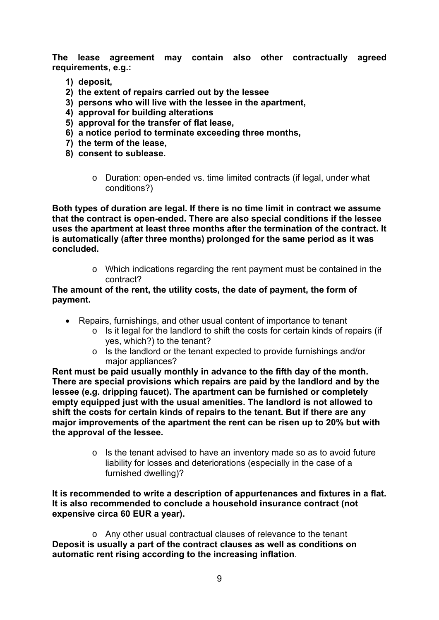**The lease agreement may contain also other contractually agreed requirements, e.g.:** 

- **1) deposit,**
- **2) the extent of repairs carried out by the lessee**
- **3) persons who will live with the lessee in the apartment,**
- **4) approval for building alterations**
- **5) approval for the transfer of flat lease,**
- **6) a notice period to terminate exceeding three months,**
- **7) the term of the lease,**
- **8) consent to sublease.** 
	- $\circ$  Duration: open-ended vs. time limited contracts (if legal, under what conditions?)

**Both types of duration are legal. If there is no time limit in contract we assume that the contract is open-ended. There are also special conditions if the lessee uses the apartment at least three months after the termination of the contract. It is automatically (after three months) prolonged for the same period as it was concluded.** 

> o Which indications regarding the rent payment must be contained in the contract?

#### **The amount of the rent, the utility costs, the date of payment, the form of payment.**

- Repairs, furnishings, and other usual content of importance to tenant
	- o Is it legal for the landlord to shift the costs for certain kinds of repairs (if yes, which?) to the tenant?
	- o Is the landlord or the tenant expected to provide furnishings and/or major appliances?

**Rent must be paid usually monthly in advance to the fifth day of the month. There are special provisions which repairs are paid by the landlord and by the lessee (e.g. dripping faucet). The apartment can be furnished or completely empty equipped just with the usual amenities. The landlord is not allowed to shift the costs for certain kinds of repairs to the tenant. But if there are any major improvements of the apartment the rent can be risen up to 20% but with the approval of the lessee.** 

> o Is the tenant advised to have an inventory made so as to avoid future liability for losses and deteriorations (especially in the case of a furnished dwelling)?

**It is recommended to write a description of appurtenances and fixtures in a flat. It is also recommended to conclude a household insurance contract (not expensive circa 60 EUR a year).** 

o Any other usual contractual clauses of relevance to the tenant **Deposit is usually a part of the contract clauses as well as conditions on automatic rent rising according to the increasing inflation**.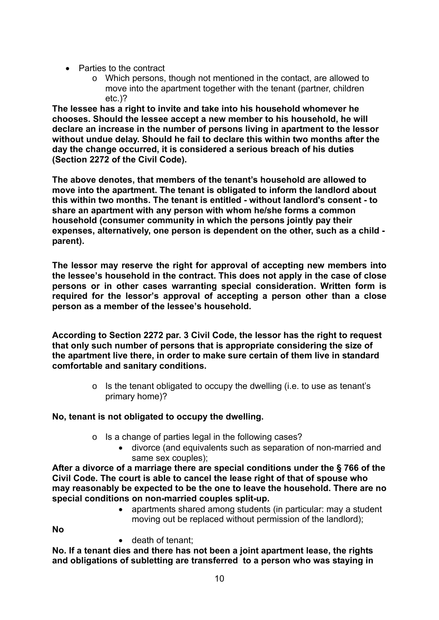- Parties to the contract
	- o Which persons, though not mentioned in the contact, are allowed to move into the apartment together with the tenant (partner, children etc.)?

**The lessee has a right to invite and take into his household whomever he chooses. Should the lessee accept a new member to his household, he will declare an increase in the number of persons living in apartment to the lessor without undue delay. Should he fail to declare this within two months after the day the change occurred, it is considered a serious breach of his duties (Section 2272 of the Civil Code).** 

**The above denotes, that members of the tenant's household are allowed to move into the apartment. The tenant is obligated to inform the landlord about this within two months. The tenant is entitled - without landlord's consent - to share an apartment with any person with whom he/she forms a common household (consumer community in which the persons jointly pay their expenses, alternatively, one person is dependent on the other, such as a child parent).** 

**The lessor may reserve the right for approval of accepting new members into the lessee's household in the contract. This does not apply in the case of close persons or in other cases warranting special consideration. Written form is required for the lessor's approval of accepting a person other than a close person as a member of the lessee's household.** 

**According to Section 2272 par. 3 Civil Code, the lessor has the right to request that only such number of persons that is appropriate considering the size of the apartment live there, in order to make sure certain of them live in standard comfortable and sanitary conditions.** 

> $\circ$  Is the tenant obligated to occupy the dwelling (i.e. to use as tenant's primary home)?

### **No, tenant is not obligated to occupy the dwelling.**

- o Is a change of parties legal in the following cases?
	- divorce (and equivalents such as separation of non-married and same sex couples);

**After a divorce of a marriage there are special conditions under the § 766 of the Civil Code. The court is able to cancel the lease right of that of spouse who may reasonably be expected to be the one to leave the household. There are no special conditions on non-married couples split-up.** 

 apartments shared among students (in particular: may a student moving out be replaced without permission of the landlord);

**No** 

• death of tenant:

**No. If a tenant dies and there has not been a joint apartment lease, the rights and obligations of subletting are transferred to a person who was staying in**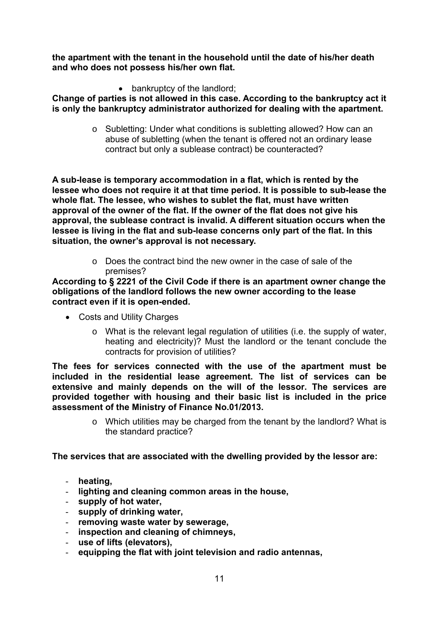**the apartment with the tenant in the household until the date of his/her death and who does not possess his/her own flat.** 

• bankruptcy of the landlord;

**Change of parties is not allowed in this case. According to the bankruptcy act it is only the bankruptcy administrator authorized for dealing with the apartment.** 

> o Subletting: Under what conditions is subletting allowed? How can an abuse of subletting (when the tenant is offered not an ordinary lease contract but only a sublease contract) be counteracted?

**A sub-lease is temporary accommodation in a flat, which is rented by the lessee who does not require it at that time period. It is possible to sub-lease the whole flat. The lessee, who wishes to sublet the flat, must have written approval of the owner of the flat. If the owner of the flat does not give his approval, the sublease contract is invalid. A different situation occurs when the lessee is living in the flat and sub-lease concerns only part of the flat. In this situation, the owner's approval is not necessary.** 

> o Does the contract bind the new owner in the case of sale of the premises?

**According to § 2221 of the Civil Code if there is an apartment owner change the obligations of the landlord follows the new owner according to the lease contract even if it is open-ended.** 

- Costs and Utility Charges
	- o What is the relevant legal regulation of utilities (i.e. the supply of water, heating and electricity)? Must the landlord or the tenant conclude the contracts for provision of utilities?

**The fees for services connected with the use of the apartment must be included in the residential lease agreement. The list of services can be extensive and mainly depends on the will of the lessor. The services are provided together with housing and their basic list is included in the price assessment of the Ministry of Finance No.01/2013.** 

> o Which utilities may be charged from the tenant by the landlord? What is the standard practice?

#### **The services that are associated with the dwelling provided by the lessor are:**

- **heating,**
- **lighting and cleaning common areas in the house,**
- **supply of hot water,**
- **supply of drinking water,**
- **removing waste water by sewerage,**
- **inspection and cleaning of chimneys,**
- **use of lifts (elevators),**
- **equipping the flat with joint television and radio antennas,**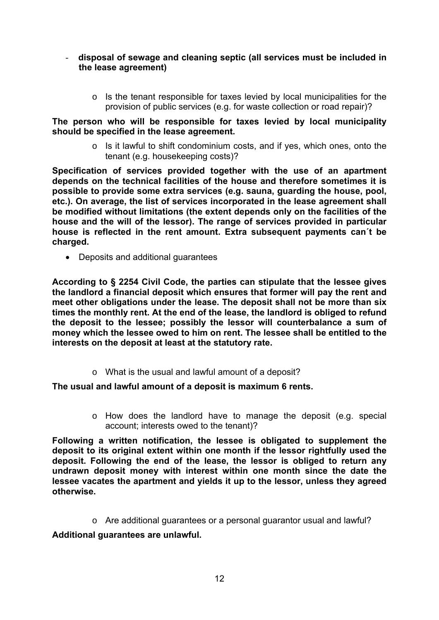- **disposal of sewage and cleaning septic (all services must be included in the lease agreement)** 
	- o Is the tenant responsible for taxes levied by local municipalities for the provision of public services (e.g. for waste collection or road repair)?

**The person who will be responsible for taxes levied by local municipality should be specified in the lease agreement.** 

> o Is it lawful to shift condominium costs, and if yes, which ones, onto the tenant (e.g. housekeeping costs)?

**Specification of services provided together with the use of an apartment depends on the technical facilities of the house and therefore sometimes it is possible to provide some extra services (e.g. sauna, guarding the house, pool, etc.). On average, the list of services incorporated in the lease agreement shall be modified without limitations (the extent depends only on the facilities of the house and the will of the lessor). The range of services provided in particular house is reflected in the rent amount. Extra subsequent payments can´t be charged.** 

Deposits and additional guarantees

**According to § 2254 Civil Code, the parties can stipulate that the lessee gives the landlord a financial deposit which ensures that former will pay the rent and meet other obligations under the lease. The deposit shall not be more than six times the monthly rent. At the end of the lease, the landlord is obliged to refund the deposit to the lessee; possibly the lessor will counterbalance a sum of money which the lessee owed to him on rent. The lessee shall be entitled to the interests on the deposit at least at the statutory rate.** 

o What is the usual and lawful amount of a deposit?

**The usual and lawful amount of a deposit is maximum 6 rents.** 

o How does the landlord have to manage the deposit (e.g. special account; interests owed to the tenant)?

**Following a written notification, the lessee is obligated to supplement the deposit to its original extent within one month if the lessor rightfully used the deposit. Following the end of the lease, the lessor is obliged to return any undrawn deposit money with interest within one month since the date the lessee vacates the apartment and yields it up to the lessor, unless they agreed otherwise.** 

 $\circ$  Are additional guarantees or a personal guarantor usual and lawful?

**Additional guarantees are unlawful.**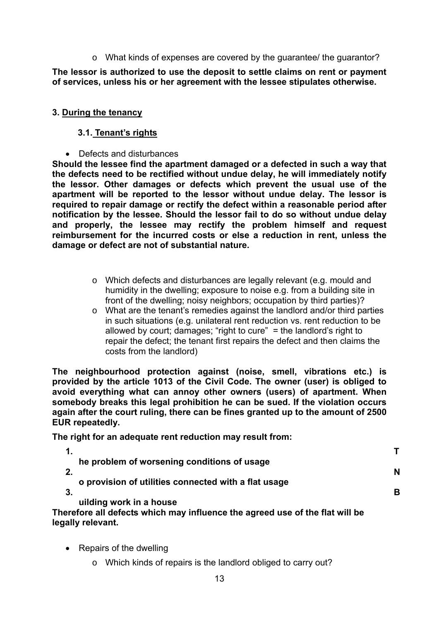o What kinds of expenses are covered by the guarantee/ the guarantor?

**The lessor is authorized to use the deposit to settle claims on rent or payment of services, unless his or her agreement with the lessee stipulates otherwise.** 

#### **3. During the tenancy**

#### **3.1. Tenant's rights**

• Defects and disturbances

**Should the lessee find the apartment damaged or a defected in such a way that the defects need to be rectified without undue delay, he will immediately notify the lessor. Other damages or defects which prevent the usual use of the apartment will be reported to the lessor without undue delay. The lessor is required to repair damage or rectify the defect within a reasonable period after notification by the lessee. Should the lessor fail to do so without undue delay and properly, the lessee may rectify the problem himself and request reimbursement for the incurred costs or else a reduction in rent, unless the damage or defect are not of substantial nature.** 

- o Which defects and disturbances are legally relevant (e.g. mould and humidity in the dwelling; exposure to noise e.g. from a building site in front of the dwelling; noisy neighbors; occupation by third parties)?
- o What are the tenant's remedies against the landlord and/or third parties in such situations (e.g. unilateral rent reduction vs. rent reduction to be allowed by court; damages; "right to cure" = the landlord's right to repair the defect; the tenant first repairs the defect and then claims the costs from the landlord)

**The neighbourhood protection against (noise, smell, vibrations etc.) is provided by the article 1013 of the Civil Code. The owner (user) is obliged to avoid everything what can annoy other owners (users) of apartment. When somebody breaks this legal prohibition he can be sued. If the violation occurs again after the court ruling, there can be fines granted up to the amount of 2500 EUR repeatedly.** 

**The right for an adequate rent reduction may result from:** 

| he problem of worsening conditions of usage                                  |   |
|------------------------------------------------------------------------------|---|
| $\mathbf{2}$                                                                 | N |
| o provision of utilities connected with a flat usage                         |   |
| $\cdot$ 3.                                                                   | в |
| uilding work in a house                                                      |   |
| Therefore all defects which may influence the agreed use of the flat will be |   |
| legally relevant.                                                            |   |

- Repairs of the dwelling
	- o Which kinds of repairs is the landlord obliged to carry out?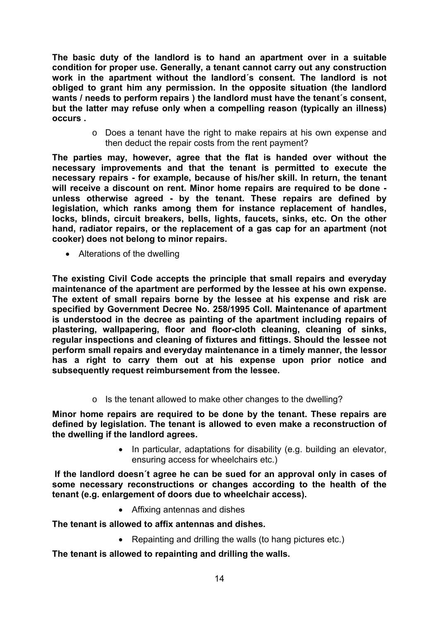**The basic duty of the landlord is to hand an apartment over in a suitable condition for proper use. Generally, a tenant cannot carry out any construction work in the apartment without the landlord´s consent. The landlord is not obliged to grant him any permission. In the opposite situation (the landlord wants / needs to perform repairs ) the landlord must have the tenant´s consent, but the latter may refuse only when a compelling reason (typically an illness) occurs .** 

> o Does a tenant have the right to make repairs at his own expense and then deduct the repair costs from the rent payment?

**The parties may, however, agree that the flat is handed over without the necessary improvements and that the tenant is permitted to execute the necessary repairs - for example, because of his/her skill. In return, the tenant will receive a discount on rent. Minor home repairs are required to be done unless otherwise agreed - by the tenant. These repairs are defined by legislation, which ranks among them for instance replacement of handles, locks, blinds, circuit breakers, bells, lights, faucets, sinks, etc. On the other hand, radiator repairs, or the replacement of a gas cap for an apartment (not cooker) does not belong to minor repairs.** 

• Alterations of the dwelling

**The existing Civil Code accepts the principle that small repairs and everyday maintenance of the apartment are performed by the lessee at his own expense. The extent of small repairs borne by the lessee at his expense and risk are specified by Government Decree No. 258/1995 Coll. Maintenance of apartment is understood in the decree as painting of the apartment including repairs of plastering, wallpapering, floor and floor-cloth cleaning, cleaning of sinks, regular inspections and cleaning of fixtures and fittings. Should the lessee not perform small repairs and everyday maintenance in a timely manner, the lessor has a right to carry them out at his expense upon prior notice and subsequently request reimbursement from the lessee.** 

o Is the tenant allowed to make other changes to the dwelling?

**Minor home repairs are required to be done by the tenant. These repairs are defined by legislation. The tenant is allowed to even make a reconstruction of the dwelling if the landlord agrees.** 

> • In particular, adaptations for disability (e.g. building an elevator, ensuring access for wheelchairs etc.)

 **If the landlord doesn´t agree he can be sued for an approval only in cases of some necessary reconstructions or changes according to the health of the tenant (e.g. enlargement of doors due to wheelchair access).**

Affixing antennas and dishes

**The tenant is allowed to affix antennas and dishes.**

• Repainting and drilling the walls (to hang pictures etc.)

**The tenant is allowed to repainting and drilling the walls.**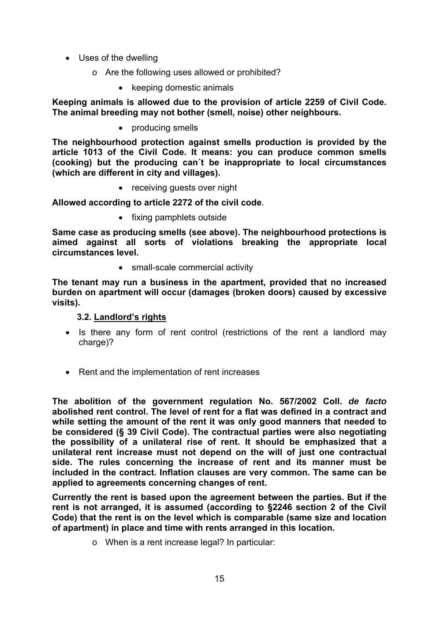- Uses of the dwelling
	- o Are the following uses allowed or prohibited?
		- keeping domestic animals

**Keeping animals is allowed due to the provision of article 2259 of Civil Code. The animal breeding may not bother (smell, noise) other neighbours.** 

• producing smells

**The neighbourhood protection against smells production is provided by the article 1013 of the Civil Code. It means: you can produce common smells (cooking) but the producing can´t be inappropriate to local circumstances (which are different in city and villages).** 

• receiving guests over night

**Allowed according to article 2272 of the civil code**.

• fixing pamphlets outside

**Same case as producing smells (see above). The neighbourhood protections is aimed against all sorts of violations breaking the appropriate local circumstances level.** 

• small-scale commercial activity

**The tenant may run a business in the apartment, provided that no increased burden on apartment will occur (damages (broken doors) caused by excessive visits).** 

#### **3.2. Landlord's rights**

- Is there any form of rent control (restrictions of the rent a landlord may charge)?
- Rent and the implementation of rent increases

**The abolition of the government regulation No. 567/2002 Coll.** *de facto* **abolished rent control. The level of rent for a flat was defined in a contract and while setting the amount of the rent it was only good manners that needed to be considered (§ 39 Civil Code). The contractual parties were also negotiating the possibility of a unilateral rise of rent. It should be emphasized that a unilateral rent increase must not depend on the will of just one contractual side. The rules concerning the increase of rent and its manner must be included in the contract. Inflation clauses are very common. The same can be applied to agreements concerning changes of rent.** 

**Currently the rent is based upon the agreement between the parties. But if the rent is not arranged, it is assumed (according to §2246 section 2 of the Civil Code) that the rent is on the level which is comparable (same size and location of apartment) in place and time with rents arranged in this location.** 

o When is a rent increase legal? In particular: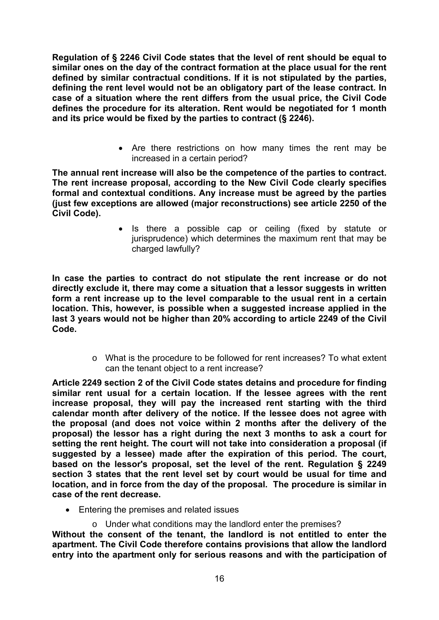**Regulation of § 2246 Civil Code states that the level of rent should be equal to similar ones on the day of the contract formation at the place usual for the rent defined by similar contractual conditions. If it is not stipulated by the parties, defining the rent level would not be an obligatory part of the lease contract. In case of a situation where the rent differs from the usual price, the Civil Code defines the procedure for its alteration. Rent would be negotiated for 1 month and its price would be fixed by the parties to contract (§ 2246).** 

> Are there restrictions on how many times the rent may be increased in a certain period?

**The annual rent increase will also be the competence of the parties to contract. The rent increase proposal, according to the New Civil Code clearly specifies formal and contextual conditions. Any increase must be agreed by the parties (just few exceptions are allowed (major reconstructions) see article 2250 of the Civil Code).** 

> • Is there a possible cap or ceiling (fixed by statute or jurisprudence) which determines the maximum rent that may be charged lawfully?

**In case the parties to contract do not stipulate the rent increase or do not directly exclude it, there may come a situation that a lessor suggests in written form a rent increase up to the level comparable to the usual rent in a certain location. This, however, is possible when a suggested increase applied in the last 3 years would not be higher than 20% according to article 2249 of the Civil Code.** 

> o What is the procedure to be followed for rent increases? To what extent can the tenant object to a rent increase?

**Article 2249 section 2 of the Civil Code states detains and procedure for finding similar rent usual for a certain location. If the lessee agrees with the rent increase proposal, they will pay the increased rent starting with the third calendar month after delivery of the notice. If the lessee does not agree with the proposal (and does not voice within 2 months after the delivery of the proposal) the lessor has a right during the next 3 months to ask a court for setting the rent height. The court will not take into consideration a proposal (if suggested by a lessee) made after the expiration of this period. The court, based on the lessor's proposal, set the level of the rent. Regulation § 2249 section 3 states that the rent level set by court would be usual for time and location, and in force from the day of the proposal. The procedure is similar in case of the rent decrease.** 

- Entering the premises and related issues
	- o Under what conditions may the landlord enter the premises?

**Without the consent of the tenant, the landlord is not entitled to enter the apartment. The Civil Code therefore contains provisions that allow the landlord entry into the apartment only for serious reasons and with the participation of**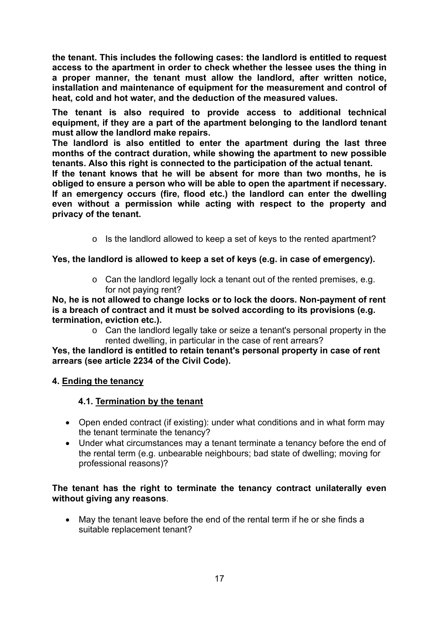**the tenant. This includes the following cases: the landlord is entitled to request access to the apartment in order to check whether the lessee uses the thing in a proper manner, the tenant must allow the landlord, after written notice, installation and maintenance of equipment for the measurement and control of heat, cold and hot water, and the deduction of the measured values.** 

**The tenant is also required to provide access to additional technical equipment, if they are a part of the apartment belonging to the landlord tenant must allow the landlord make repairs.** 

**The landlord is also entitled to enter the apartment during the last three months of the contract duration, while showing the apartment to new possible tenants. Also this right is connected to the participation of the actual tenant.** 

**If the tenant knows that he will be absent for more than two months, he is obliged to ensure a person who will be able to open the apartment if necessary. If an emergency occurs (fire, flood etc.) the landlord can enter the dwelling even without a permission while acting with respect to the property and privacy of the tenant.** 

o Is the landlord allowed to keep a set of keys to the rented apartment?

#### **Yes, the landlord is allowed to keep a set of keys (e.g. in case of emergency).**

o Can the landlord legally lock a tenant out of the rented premises, e.g. for not paying rent?

**No, he is not allowed to change locks or to lock the doors. Non-payment of rent is a breach of contract and it must be solved according to its provisions (e.g. termination, eviction etc.).** 

o Can the landlord legally take or seize a tenant's personal property in the rented dwelling, in particular in the case of rent arrears?

**Yes, the landlord is entitled to retain tenant's personal property in case of rent arrears (see article 2234 of the Civil Code).** 

#### **4. Ending the tenancy**

#### **4.1. Termination by the tenant**

- Open ended contract (if existing): under what conditions and in what form may the tenant terminate the tenancy?
- Under what circumstances may a tenant terminate a tenancy before the end of the rental term (e.g. unbearable neighbours; bad state of dwelling; moving for professional reasons)?

#### **The tenant has the right to terminate the tenancy contract unilaterally even without giving any reasons**.

 May the tenant leave before the end of the rental term if he or she finds a suitable replacement tenant?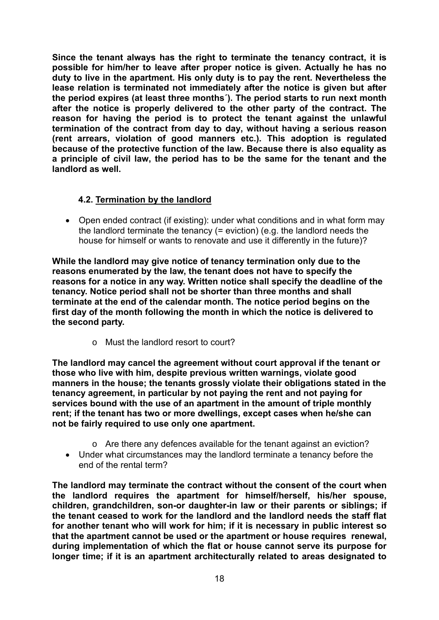**Since the tenant always has the right to terminate the tenancy contract, it is possible for him/her to leave after proper notice is given. Actually he has no duty to live in the apartment. His only duty is to pay the rent. Nevertheless the lease relation is terminated not immediately after the notice is given but after the period expires (at least three months´). The period starts to run next month after the notice is properly delivered to the other party of the contract. The reason for having the period is to protect the tenant against the unlawful termination of the contract from day to day, without having a serious reason (rent arrears, violation of good manners etc.). This adoption is regulated because of the protective function of the law. Because there is also equality as a principle of civil law, the period has to be the same for the tenant and the landlord as well.**

#### **4.2. Termination by the landlord**

• Open ended contract (if existing): under what conditions and in what form may the landlord terminate the tenancy (= eviction) (e.g. the landlord needs the house for himself or wants to renovate and use it differently in the future)?

**While the landlord may give notice of tenancy termination only due to the reasons enumerated by the law, the tenant does not have to specify the reasons for a notice in any way. Written notice shall specify the deadline of the tenancy. Notice period shall not be shorter than three months and shall terminate at the end of the calendar month. The notice period begins on the first day of the month following the month in which the notice is delivered to the second party.** 

o Must the landlord resort to court?

**The landlord may cancel the agreement without court approval if the tenant or those who live with him, despite previous written warnings, violate good manners in the house; the tenants grossly violate their obligations stated in the tenancy agreement, in particular by not paying the rent and not paying for services bound with the use of an apartment in the amount of triple monthly rent; if the tenant has two or more dwellings, except cases when he/she can not be fairly required to use only one apartment.** 

- o Are there any defences available for the tenant against an eviction?
- Under what circumstances may the landlord terminate a tenancy before the end of the rental term?

**The landlord may terminate the contract without the consent of the court when the landlord requires the apartment for himself/herself, his/her spouse, children, grandchildren, son-or daughter-in law or their parents or siblings; if the tenant ceased to work for the landlord and the landlord needs the staff flat for another tenant who will work for him; if it is necessary in public interest so that the apartment cannot be used or the apartment or house requires renewal, during implementation of which the flat or house cannot serve its purpose for longer time; if it is an apartment architecturally related to areas designated to**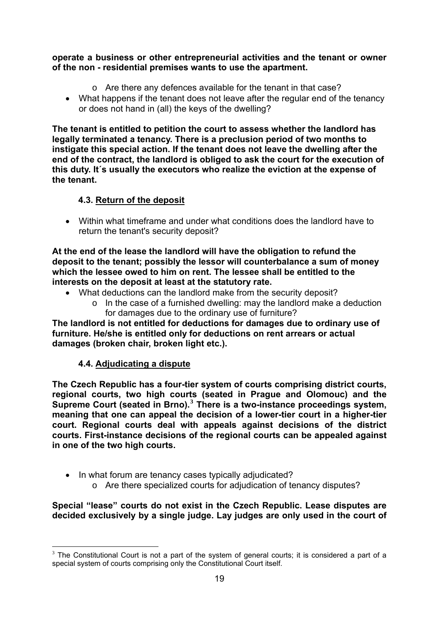**operate a business or other entrepreneurial activities and the tenant or owner of the non - residential premises wants to use the apartment.** 

- o Are there any defences available for the tenant in that case?
- What happens if the tenant does not leave after the regular end of the tenancy or does not hand in (all) the keys of the dwelling?

**The tenant is entitled to petition the court to assess whether the landlord has legally terminated a tenancy. There is a preclusion period of two months to instigate this special action. If the tenant does not leave the dwelling after the end of the contract, the landlord is obliged to ask the court for the execution of this duty. It´s usually the executors who realize the eviction at the expense of the tenant.** 

#### **4.3. Return of the deposit**

 Within what timeframe and under what conditions does the landlord have to return the tenant's security deposit?

**At the end of the lease the landlord will have the obligation to refund the deposit to the tenant; possibly the lessor will counterbalance a sum of money which the lessee owed to him on rent. The lessee shall be entitled to the interests on the deposit at least at the statutory rate.** 

- What deductions can the landlord make from the security deposit?
	- o In the case of a furnished dwelling: may the landlord make a deduction for damages due to the ordinary use of furniture?

**The landlord is not entitled for deductions for damages due to ordinary use of furniture. He/she is entitled only for deductions on rent arrears or actual damages (broken chair, broken light etc.).** 

#### **4.4. Adjudicating a dispute**

**The Czech Republic has a four-tier system of courts comprising district courts, regional courts, two high courts (seated in Prague and Olomouc) and the Supreme Court (seated in Brno).[3](#page-18-0) There is a two-instance proceedings system, meaning that one can appeal the decision of a lower-tier court in a higher-tier court. Regional courts deal with appeals against decisions of the district courts. First-instance decisions of the regional courts can be appealed against in one of the two high courts.** 

- In what forum are tenancy cases typically adjudicated?
	- o Are there specialized courts for adjudication of tenancy disputes?

#### **Special "lease" courts do not exist in the Czech Republic. Lease disputes are decided exclusively by a single judge. Lay judges are only used in the court of**

<span id="page-18-0"></span><sup>1</sup>  $3$  The Constitutional Court is not a part of the system of general courts; it is considered a part of a special system of courts comprising only the Constitutional Court itself.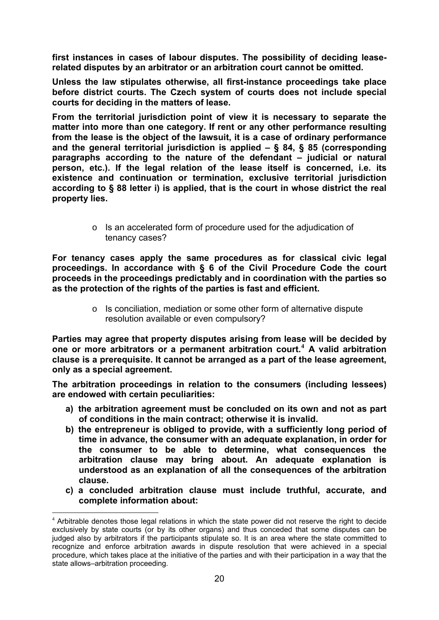**first instances in cases of labour disputes. The possibility of deciding leaserelated disputes by an arbitrator or an arbitration court cannot be omitted.** 

**Unless the law stipulates otherwise, all first-instance proceedings take place before district courts. The Czech system of courts does not include special courts for deciding in the matters of lease.** 

**From the territorial jurisdiction point of view it is necessary to separate the matter into more than one category. If rent or any other performance resulting from the lease is the object of the lawsuit, it is a case of ordinary performance and the general territorial jurisdiction is applied – § 84, § 85 (corresponding paragraphs according to the nature of the defendant – judicial or natural person, etc.). If the legal relation of the lease itself is concerned, i.e. its existence and continuation or termination, exclusive territorial jurisdiction according to § 88 letter i) is applied, that is the court in whose district the real property lies.** 

> o Is an accelerated form of procedure used for the adjudication of tenancy cases?

**For tenancy cases apply the same procedures as for classical civic legal proceedings. In accordance with § 6 of the Civil Procedure Code the court proceeds in the proceedings predictably and in coordination with the parties so as the protection of the rights of the parties is fast and efficient.** 

> o Is conciliation, mediation or some other form of alternative dispute resolution available or even compulsory?

**Parties may agree that property disputes arising from lease will be decided by one or more arbitrators or a permanent arbitration court.[4](#page-19-0) A valid arbitration clause is a prerequisite. It cannot be arranged as a part of the lease agreement, only as a special agreement.** 

**The arbitration proceedings in relation to the consumers (including lessees) are endowed with certain peculiarities:** 

- **a) the arbitration agreement must be concluded on its own and not as part of conditions in the main contract; otherwise it is invalid.**
- **b) the entrepreneur is obliged to provide, with a sufficiently long period of time in advance, the consumer with an adequate explanation, in order for the consumer to be able to determine, what consequences the arbitration clause may bring about. An adequate explanation is understood as an explanation of all the consequences of the arbitration clause.**
- **c) a concluded arbitration clause must include truthful, accurate, and complete information about:**

1

<span id="page-19-0"></span> $4$  Arbitrable denotes those legal relations in which the state power did not reserve the right to decide exclusively by state courts (or by its other organs) and thus conceded that some disputes can be judged also by arbitrators if the participants stipulate so. It is an area where the state committed to recognize and enforce arbitration awards in dispute resolution that were achieved in a special procedure, which takes place at the initiative of the parties and with their participation in a way that the state allows–arbitration proceeding.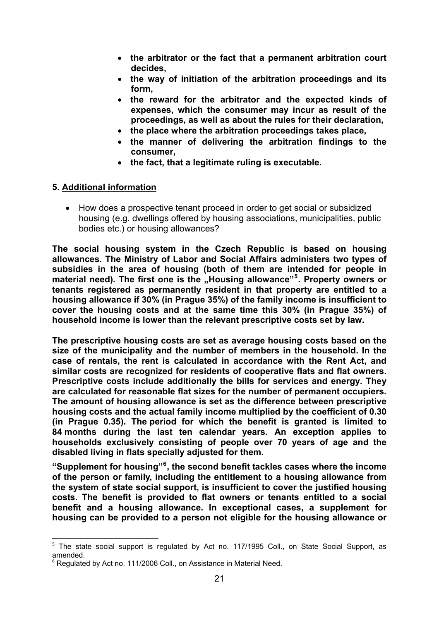- **the arbitrator or the fact that a permanent arbitration court decides,**
- **the way of initiation of the arbitration proceedings and its form,**
- **the reward for the arbitrator and the expected kinds of expenses, which the consumer may incur as result of the proceedings, as well as about the rules for their declaration,**
- **the place where the arbitration proceedings takes place,**
- **the manner of delivering the arbitration findings to the consumer,**
- **the fact, that a legitimate ruling is executable.**

#### **5. Additional information**

 How does a prospective tenant proceed in order to get social or subsidized housing (e.g. dwellings offered by housing associations, municipalities, public bodies etc.) or housing allowances?

**The social housing system in the Czech Republic is based on housing allowances. The Ministry of Labor and Social Affairs administers two types of subsidies in the area of housing (both of them are intended for people in**  material need). The first one is the "Housing allowance"<sup>[5](#page-20-0)</sup>. Property owners or **tenants registered as permanently resident in that property are entitled to a housing allowance if 30% (in Prague 35%) of the family income is insufficient to cover the housing costs and at the same time this 30% (in Prague 35%) of household income is lower than the relevant prescriptive costs set by law.** 

**The prescriptive housing costs are set as average housing costs based on the size of the municipality and the number of members in the household. In the case of rentals, the rent is calculated in accordance with the Rent Act, and similar costs are recognized for residents of cooperative flats and flat owners. Prescriptive costs include additionally the bills for services and energy. They are calculated for reasonable flat sizes for the number of permanent occupiers. The amount of housing allowance is set as the difference between prescriptive housing costs and the actual family income multiplied by the coefficient of 0.30 (in Prague 0.35). The period for which the benefit is granted is limited to 84 months during the last ten calendar years. An exception applies to households exclusively consisting of people over 70 years of age and the disabled living in flats specially adjusted for them.** 

**"Supplement for housing"[6](#page-20-1) , the second benefit tackles cases where the income of the person or family, including the entitlement to a housing allowance from the system of state social support, is insufficient to cover the justified housing costs. The benefit is provided to flat owners or tenants entitled to a social benefit and a housing allowance. In exceptional cases, a supplement for housing can be provided to a person not eligible for the housing allowance or** 

1

<span id="page-20-0"></span> $5$  The state social support is regulated by Act no. 117/1995 Coll., on State Social Support, as amended.

<span id="page-20-1"></span><sup>&</sup>lt;sup>6</sup> Regulated by Act no. 111/2006 Coll., on Assistance in Material Need.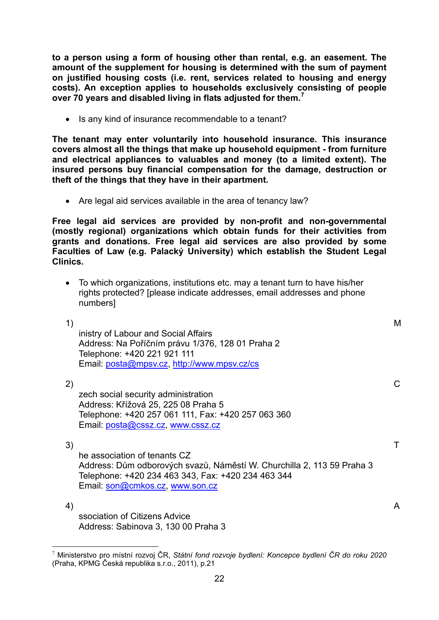**to a person using a form of housing other than rental, e.g. an easement. The amount of the supplement for housing is determined with the sum of payment on justified housing costs (i.e. rent, services related to housing and energy costs). An exception applies to households exclusively consisting of people over 70 years and disabled living in flats adjusted for them.[7](#page-21-0)**

• Is any kind of insurance recommendable to a tenant?

**The tenant may enter voluntarily into household insurance. This insurance covers almost all the things that make up household equipment - from furniture and electrical appliances to valuables and money (to a limited extent). The insured persons buy financial compensation for the damage, destruction or theft of the things that they have in their apartment.** 

• Are legal aid services available in the area of tenancy law?

**Free legal aid services are provided by non-profit and non-governmental (mostly regional) organizations which obtain funds for their activities from grants and donations. Free legal aid services are also provided by some Faculties of Law (e.g. Palacký University) which establish the Student Legal Clinics.** 

 To which organizations, institutions etc. may a tenant turn to have his/her rights protected? [please indicate addresses, email addresses and phone numbers]

1) M inistry of Labour and Social Affairs Address: Na Poříčním právu 1/376, 128 01 Praha 2 Telephone: +420 221 921 111 Email: [posta@mpsv.cz,](mailto:posta@mpsv.cz)<http://www.mpsv.cz/cs>

 $2)$  C zech social security administration Address: Křížová 25, 225 08 Praha 5 Telephone: +420 257 061 111, Fax: +420 257 063 360 Email: [posta@cssz.cz](mailto:posta@cssz.cz), [www.cssz.cz](http://www.cssz.cz/)

 $\mathsf{3)}$  T he association of tenants CZ Address: Dům odborových svazů, Náměstí W. Churchilla 2, 113 59 Praha 3 Telephone: +420 234 463 343, Fax: +420 234 463 344 Email: [son@cmkos.cz](mailto:son@cmkos.cz), [www.son.cz](http://www.son.cz/)

 $\mathcal{A}$ ) and  $\mathcal{A}$ ssociation of Citizens Advice Address: Sabinova 3, 130 00 Praha 3

<span id="page-21-0"></span><sup>1</sup> 7 Ministerstvo pro místní rozvoj ČR, *Státní fond rozvoje bydlení: Koncepce bydlení ČR do roku 2020* (Praha, KPMG Česká republika s.r.o., 2011), p.21